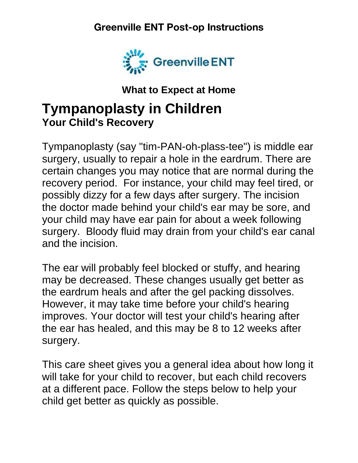#### **Greenville ENT Post-op Instructions**



**What to Expect at Home**

# **Tympanoplasty in Children Your Child's Recovery**

Tympanoplasty (say "tim-PAN-oh-plass-tee") is middle ear surgery, usually to repair a hole in the eardrum. There are certain changes you may notice that are normal during the recovery period. For instance, your child may feel tired, or possibly dizzy for a few days after surgery. The incision the doctor made behind your child's ear may be sore, and your child may have ear pain for about a week following surgery. Bloody fluid may drain from your child's ear canal and the incision.

The ear will probably feel blocked or stuffy, and hearing may be decreased. These changes usually get better as the eardrum heals and after the gel packing dissolves. However, it may take time before your child's hearing improves. Your doctor will test your child's hearing after the ear has healed, and this may be 8 to 12 weeks after surgery.

This care sheet gives you a general idea about how long it will take for your child to recover, but each child recovers at a different pace. Follow the steps below to help your child get better as quickly as possible.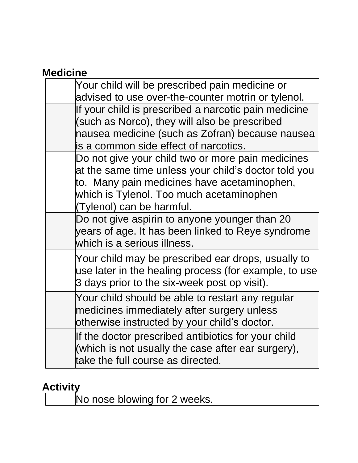# **Medicine**

| Your child will be prescribed pain medicine or<br>advised to use over-the-counter motrin or tylenol.                                                                                                                              |
|-----------------------------------------------------------------------------------------------------------------------------------------------------------------------------------------------------------------------------------|
| If your child is prescribed a narcotic pain medicine<br>(such as Norco), they will also be prescribed<br>nausea medicine (such as Zofran) because nausea<br>is a common side effect of narcotics.                                 |
| Do not give your child two or more pain medicines<br>at the same time unless your child's doctor told you<br>to. Many pain medicines have acetaminophen,<br>which is Tylenol. Too much acetaminophen<br>(Tylenol) can be harmful. |
| Do not give aspirin to anyone younger than 20<br>years of age. It has been linked to Reye syndrome<br>which is a serious illness.                                                                                                 |
| Your child may be prescribed ear drops, usually to<br>use later in the healing process (for example, to use<br>3 days prior to the six-week post op visit).                                                                       |
| Your child should be able to restart any regular<br>medicines immediately after surgery unless<br>otherwise instructed by your child's doctor.                                                                                    |
| If the doctor prescribed antibiotics for your child<br>(which is not usually the case after ear surgery),<br>take the full course as directed.                                                                                    |

#### **Activity**

No nose blowing for 2 weeks.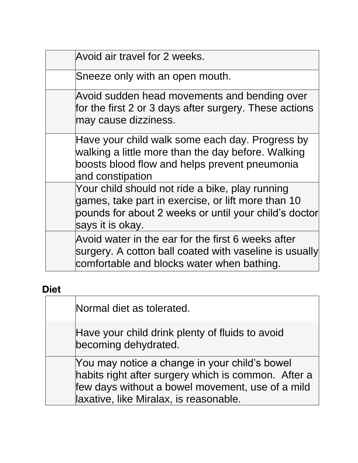| Avoid air travel for 2 weeks.                                                                                                                                                      |
|------------------------------------------------------------------------------------------------------------------------------------------------------------------------------------|
| Sneeze only with an open mouth.                                                                                                                                                    |
| Avoid sudden head movements and bending over<br>for the first 2 or 3 days after surgery. These actions<br>may cause dizziness.                                                     |
| Have your child walk some each day. Progress by<br>walking a little more than the day before. Walking<br>boosts blood flow and helps prevent pneumonia<br>and constipation         |
| Your child should not ride a bike, play running<br>games, take part in exercise, or lift more than 10<br>pounds for about 2 weeks or until your child's doctor<br>says it is okay. |
| Avoid water in the ear for the first 6 weeks after<br>surgery. A cotton ball coated with vaseline is usually<br>comfortable and blocks water when bathing.                         |

## **Diet**

| Normal diet as tolerated.                                                                                                                                                                          |
|----------------------------------------------------------------------------------------------------------------------------------------------------------------------------------------------------|
| Have your child drink plenty of fluids to avoid<br>becoming dehydrated.                                                                                                                            |
| You may notice a change in your child's bowel<br>habits right after surgery which is common. After a<br>few days without a bowel movement, use of a mild<br>laxative, like Miralax, is reasonable. |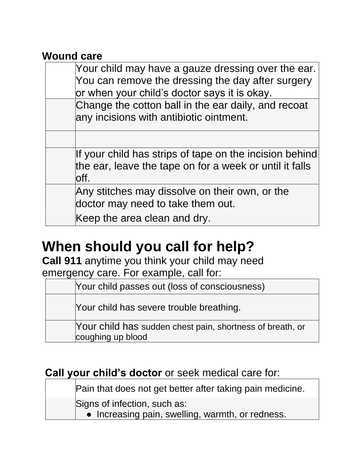#### **Wound care**

| Your child may have a gauze dressing over the ear.<br>You can remove the dressing the day after surgery<br>or when your child's doctor says it is okay. |
|---------------------------------------------------------------------------------------------------------------------------------------------------------|
| Change the cotton ball in the ear daily, and recoat<br>any incisions with antibiotic ointment.                                                          |
|                                                                                                                                                         |
| If your child has strips of tape on the incision behind<br>the ear, leave the tape on for a week or until it falls<br>loff.                             |
| Any stitches may dissolve on their own, or the<br>doctor may need to take them out.                                                                     |
| Keep the area clean and dry.                                                                                                                            |

# **When should you call for help?**

**Call 911** anytime you think your child may need emergency care. For example, call for:

Your child passes out (loss of consciousness)

Your child has severe trouble breathing.

Your child has sudden chest pain, shortness of breath, or coughing up blood

## **Call your child's doctor** or seek medical care for:

Pain that does not get better after taking pain medicine.

Signs of infection, such as:

• Increasing pain, swelling, warmth, or redness.